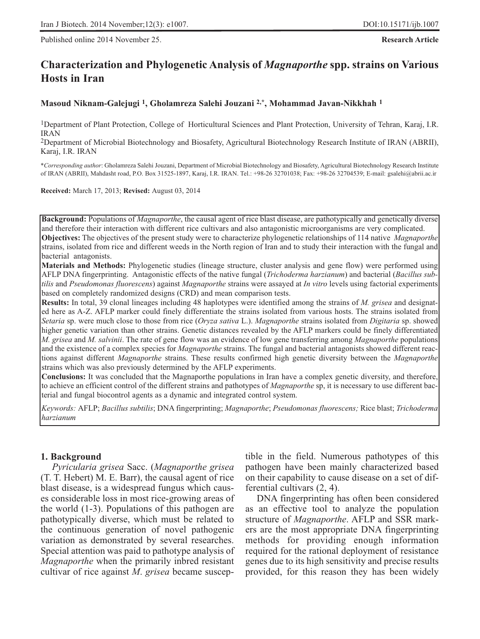# **Characterization and Phylogenetic Analysis of** *Magnaporthe* **spp. strains on Various Hosts in Iran**

#### **Masoud Niknam-Galejugi 1, Gholamreza Salehi Jouzani 2,\*, Mohammad Javan-Nikkhah 1**

1Department of Plant Protection, College of Horticultural Sciences and Plant Protection, University of Tehran, Karaj, I.R. IRAN

2Department of Microbial Biotechnology and Biosafety, Agricultural Biotechnology Research Institute of IRAN (ABRII), Karaj, I.R. IRAN

*\*Corresponding author*: Gholamreza Salehi Jouzani, Department of Microbial Biotechnology and Biosafety, Agricultural Biotechnology Research Institute of IRAN (ABRII), Mahdasht road, P.O. Box 31525-1897, Karaj, I.R. IRAN. Tel.: +98-26 32701038; Fax: +98-26 32704539; E-mail: gsalehi@abrii.ac.ir

**Received:** March 17, 2013; **Revised:** August 03, 2014

**Background:** Populations of *Magnaporthe*, the causal agent of rice blast disease, are pathotypically and genetically diverse and therefore their interaction with different rice cultivars and also antagonistic microorganisms are very complicated. **Objectives:** The objectives of the present study were to characterize phylogenetic relationships of 114 native *Magnaporthe* strains, isolated from rice and different weeds in the North region of Iran and to study their interaction with the fungal and bacterial antagonists.

**Materials and Methods:** Phylogenetic studies (lineage structure, cluster analysis and gene flow) were performed using AFLP DNA fingerprinting. Antagonistic effects of the native fungal (*Trichoderma harzianum*) and bacterial (*Bacillus subtilis* and *Pseudomonas fluorescens*) against *Magnaporthe* strains were assayed at *In vitro* levels using factorial experiments based on completely randomized designs (CRD) and mean comparison tests.

**Results:** In total, 39 clonal lineages including 48 haplotypes were identified among the strains of *M. grisea* and designated here as A-Z. AFLP marker could finely differentiate the strains isolated from various hosts. The strains isolated from *Setaria* sp. were much close to those from rice (*Oryza sativa* L.). *Magnaporthe* strains isolated from *Digitaria* sp. showed higher genetic variation than other strains. Genetic distances revealed by the AFLP markers could be finely differentiated *M. grisea* and *M. salvinii*. The rate of gene flow was an evidence of low gene transferring among *Magnaporthe* populations and the existence of a complex species for *Magnaporthe* strains. The fungal and bacterial antagonists showed different reactions against different *Magnaporthe* strains. These results confirmed high genetic diversity between the *Magnaporthe* strains which was also previously determined by the AFLP experiments.

**Conclusions:** It was concluded that the Magnaporthe populations in Iran have a complex genetic diversity, and therefore, to achieve an efficient control of the different strains and pathotypes of *Magnaporthe* sp, it is necessary to use different bacterial and fungal biocontrol agents as a dynamic and integrated control system.

*Keywords:* AFLP; *Bacillus subtilis*; DNA fingerprinting; *Magnaporthe*; *Pseudomonas fluorescens;* Rice blast; *Trichoderma harzianum*

#### **1. Background**

*Pyricularia grisea* Sacc. (*Magnaporthe grisea* (T. T. Hebert) M. E. Barr), the causal agent of rice blast disease, is a widespread fungus which causes considerable loss in most rice-growing areas of the world (1-3). Populations of this pathogen are pathotypically diverse, which must be related to the continuous generation of novel pathogenic variation as demonstrated by several researches. Special attention was paid to pathotype analysis of *Magnaporthe* when the primarily inbred resistant cultivar of rice against *M*. *grisea* became susceptible in the field. Numerous pathotypes of this pathogen have been mainly characterized based on their capability to cause disease on a set of differential cultivars (2, 4).

DNA fingerprinting has often been considered as an effective tool to analyze the population structure of *Magnaporthe*. AFLP and SSR markers are the most appropriate DNA fingerprinting methods for providing enough information required for the rational deployment of resistance genes due to its high sensitivity and precise results provided, for this reason they has been widely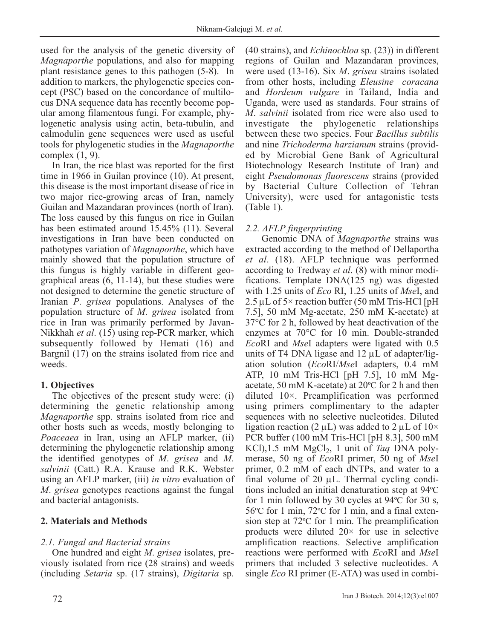used for the analysis of the genetic diversity of *Magnaporthe* populations, and also for mapping plant resistance genes to this pathogen (5-8). In addition to markers, the phylogenetic species concept (PSC) based on the concordance of multilocus DNA sequence data has recently become popular among filamentous fungi. For example, phylogenetic analysis using actin, beta-tubulin, and calmodulin gene sequences were used as useful tools for phylogenetic studies in the *Magnaporthe* complex (1, 9).

In Iran, the rice blast was reported for the first time in 1966 in Guilan province (10). At present, this disease is the most important disease of rice in two major rice-growing areas of Iran, namely Guilan and Mazandaran provinces (north of Iran). The loss caused by this fungus on rice in Guilan has been estimated around 15.45% (11). Several investigations in Iran have been conducted on pathotypes variation of *Magnaporthe*, which have mainly showed that the population structure of this fungus is highly variable in different geographical areas (6, 11-14), but these studies were not designed to determine the genetic structure of Iranian *P*. *grisea* populations. Analyses of the population structure of *M*. *grisea* isolated from rice in Iran was primarily performed by Javan-Nikkhah *et al*. (15) using rep-PCR marker, which subsequently followed by Hemati (16) and Bargnil (17) on the strains isolated from rice and weeds.

## **1. Objectives**

The objectives of the present study were: (i) determining the genetic relationship among *Magnaporthe* spp. strains isolated from rice and other hosts such as weeds, mostly belonging to *Poaceaea* in Iran, using an AFLP marker, (ii) determining the phylogenetic relationship among the identified genotypes of *M*. *grisea* and *M*. *salvinii* (Catt.) R.A. Krause and R.K. Webster using an AFLP marker, (iii) *in vitro* evaluation of *M*. *grisea* genotypes reactions against the fungal and bacterial antagonists.

## **2. Materials and Methods**

## *2.1. Fungal and Bacterial strains*

One hundred and eight *M*. *grisea* isolates, previously isolated from rice (28 strains) and weeds (including *Setaria* sp. (17 strains), *Digitaria* sp. (40 strains), and *Echinochloa* sp. (23)) in different regions of Guilan and Mazandaran provinces, were used (13-16). Six *M*. *grisea* strains isolated from other hosts, including *Eleusine coracana* and *Hordeum vulgare* in Tailand, India and Uganda, were used as standards. Four strains of *M*. *salvinii* isolated from rice were also used to investigate the phylogenetic relationships between these two species. Four *Bacillus subtilis* and nine *Trichoderma harzianum* strains (provided by Microbial Gene Bank of Agricultural Biotechnology Research Institute of Iran) and eight *Pseudomonas fluorescens* strains (provided by Bacterial Culture Collection of Tehran University), were used for antagonistic tests (Table 1).

## *2.2. AFLP fingerprinting*

Genomic DNA of *Magnaporthe* strains was extracted according to the method of Dellaportha *et al*. (18). AFLP technique was performed according to Tredway *et al*. (8) with minor modifications. Template DNA(125 ng) was digested with 1.25 units of *Eco* RI, 1.25 units of *Mse*I, and 2.5 μL of 5× reaction buffer (50 mM Tris-HCl [pH 7.5], 50 mM Mg-acetate, 250 mM K-acetate) at 37°C for 2 h, followed by heat deactivation of the enzymes at 70°C for 10 min. Double-stranded *Eco*RI and *Mse*I adapters were ligated with 0.5 units of T4 DNA ligase and 12 μL of adapter/ligation solution (*Eco*RI/*Mse*I adapters, 0.4 mM ATP, 10 mM Tris-HCl [pH 7.5], 10 mM Mgacetate, 50 mM K-acetate) at 20ºC for 2 h and then diluted 10×. Preamplification was performed using primers complimentary to the adapter sequences with no selective nucleotides. Diluted ligation reaction (2  $\mu$ L) was added to 2  $\mu$ L of 10× PCR buffer (100 mM Tris-HCl [pH 8.3], 500 mM KCl), 1.5 mM MgCl<sub>2</sub>, 1 unit of *Taq DNA poly*merase, 50 ng of *Eco*RI primer, 50 ng of *Mse*I primer, 0.2 mM of each dNTPs, and water to a final volume of 20 μL. Thermal cycling conditions included an initial denaturation step at 94ºC for 1 min followed by 30 cycles at 94ºC for 30 s, 56ºC for 1 min, 72ºC for 1 min, and a final extension step at 72ºC for 1 min. The preamplification products were diluted  $20 \times$  for use in selective amplification reactions. Selective amplification reactions were performed with *Eco*RI and *Mse*I primers that included 3 selective nucleotides. A single *Eco* RI primer (E-ATA) was used in combi-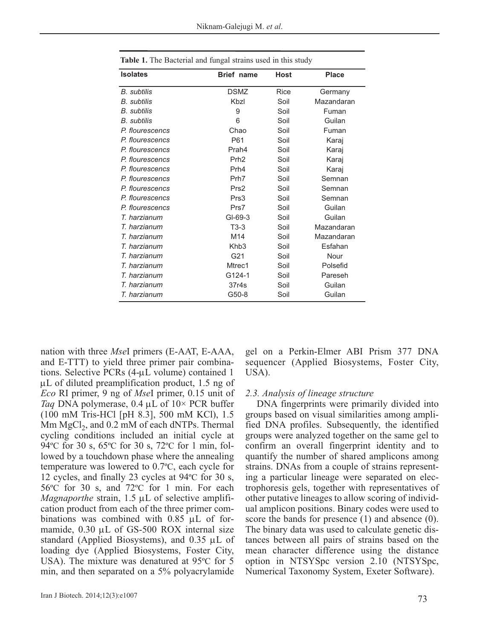| <b>Table 1.</b> The Bacterial and fungulations used in this study |                   |             |              |  |  |  |
|-------------------------------------------------------------------|-------------------|-------------|--------------|--|--|--|
| <b>Isolates</b>                                                   | <b>Brief name</b> | <b>Host</b> | <b>Place</b> |  |  |  |
| B. subtilis                                                       | <b>DSMZ</b>       | Rice        | Germany      |  |  |  |
| <b>B.</b> subtilis                                                | Kbzl              | Soil        | Mazandaran   |  |  |  |
| B. subtilis                                                       | 9                 | Soil        | Fuman        |  |  |  |
| <b>B.</b> subtilis                                                | 6                 | Soil        | Guilan       |  |  |  |
| P. flourescencs                                                   | Chao              | Soil        | Fuman        |  |  |  |
| P. flourescencs                                                   | P61               | Soil        | Karaj        |  |  |  |
| P. flourescencs                                                   | Prah4             | Soil        | Karaj        |  |  |  |
| P. flourescencs                                                   | Prh <sub>2</sub>  | Soil        | Karaj        |  |  |  |
| P. flourescencs                                                   | Prh4              | Soil        | Karaj        |  |  |  |
| P. flourescencs                                                   | Prh7              | Soil        | Semnan       |  |  |  |
| P. flourescencs                                                   | Prs2              | Soil        | Semnan       |  |  |  |
| P. flourescencs                                                   | Prs3              | Soil        | Semnan       |  |  |  |
| P. flourescencs                                                   | Prs7              | Soil        | Guilan       |  |  |  |
| T. harzianum                                                      | $GI-69-3$         | Soil        | Guilan       |  |  |  |
| T. harzianum                                                      | $T3-3$            | Soil        | Mazandaran   |  |  |  |
| T. harzianum                                                      | M14               | Soil        | Mazandaran   |  |  |  |
| T. harzianum                                                      | Khb <sub>3</sub>  | Soil        | Esfahan      |  |  |  |
| T. harzianum                                                      | G21               | Soil        | Nour         |  |  |  |
| T. harzianum                                                      | Mtrec1            | Soil        | Polsefid     |  |  |  |
| T. harzianum                                                      | G124-1            | Soil        | Pareseh      |  |  |  |
| T. harzianum                                                      | 37r4s             | Soil        | Guilan       |  |  |  |
| T. harzianum                                                      | G50-8             | Soil        | Guilan       |  |  |  |

**Table 1.** The Bacterial and fungal strains used in this study

nation with three *Mse*I primers (E-AAT, E-AAA, and E-TTT) to yield three primer pair combinations. Selective PCRs (4-μL volume) contained 1 μL of diluted preamplification product, 1.5 ng of *Eco* RI primer, 9 ng of *Mse*I primer, 0.15 unit of *Taq* DNA polymerase, 0.4 μL of 10× PCR buffer (100 mM Tris-HCl [pH 8.3], 500 mM KCl), 1.5 Mm  $MgCl<sub>2</sub>$ , and 0.2 mM of each dNTPs. Thermal cycling conditions included an initial cycle at 94ºC for 30 s, 65ºC for 30 s, 72ºC for 1 min, followed by a touchdown phase where the annealing temperature was lowered to 0.7ºC, each cycle for 12 cycles, and finally 23 cycles at 94ºC for 30 s, 56ºC for 30 s, and 72ºC for 1 min. For each *Magnaporthe* strain, 1.5 μL of selective amplification product from each of the three primer combinations was combined with 0.85 μL of formamide, 0.30 μL of GS-500 ROX internal size standard (Applied Biosystems), and 0.35 μL of loading dye (Applied Biosystems, Foster City, USA). The mixture was denatured at 95ºC for 5 min, and then separated on a 5% polyacrylamide gel on a Perkin-Elmer ABI Prism 377 DNA sequencer (Applied Biosystems, Foster City, USA).

#### *2.3. Analysis of lineage structure*

DNA fingerprints were primarily divided into groups based on visual similarities among amplified DNA profiles. Subsequently, the identified groups were analyzed together on the same gel to confirm an overall fingerprint identity and to quantify the number of shared amplicons among strains. DNAs from a couple of strains representing a particular lineage were separated on electrophoresis gels, together with representatives of other putative lineages to allow scoring of individual amplicon positions. Binary codes were used to score the bands for presence (1) and absence (0). The binary data was used to calculate genetic distances between all pairs of strains based on the mean character difference using the distance option in NTSYSpc version 2.10 (NTSYSpc, Numerical Taxonomy System, Exeter Software).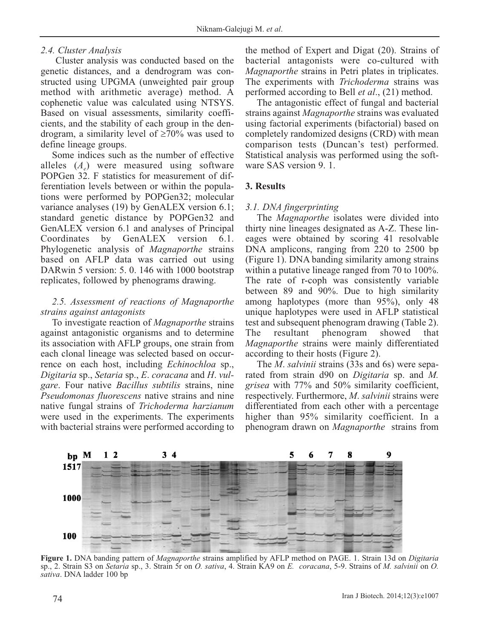#### *2.4. Cluster Analysis*

Cluster analysis was conducted based on the genetic distances, and a dendrogram was constructed using UPGMA (unweighted pair group method with arithmetic average) method. A cophenetic value was calculated using NTSYS. Based on visual assessments, similarity coefficients, and the stability of each group in the dendrogram, a similarity level of  $\geq 70\%$  was used to define lineage groups.

Some indices such as the number of effective alleles (*A<sub>e</sub>*) were measured using software POPGen 32. F statistics for measurement of differentiation levels between or within the populations were performed by POPGen32; molecular variance analyses (19) by GenALEX version 6.1; standard genetic distance by POPGen32 and GenALEX version 6.1 and analyses of Principal Coordinates by GenALEX version 6.1. Phylogenetic analysis of *Magnaporthe* strains based on AFLP data was carried out using DARwin 5 version: 5.0.146 with 1000 bootstrap replicates, followed by phenograms drawing.

#### *2.5. Assessment of reactions of Magnaporthe strains against antagonists*

To investigate reaction of *Magnaporthe* strains against antagonistic organisms and to determine its association with AFLP groups, one strain from each clonal lineage was selected based on occurrence on each host, including *Echinochloa* sp., *Digitaria* sp., *Setaria* sp., *E*. *coracana* and *H*. *vulgare*. Four native *Bacillus subtilis* strains, nine *Pseudomonas fluorescens* native strains and nine native fungal strains of *Trichoderma harzianum* were used in the experiments. The experiments with bacterial strains were performed according to

the method of Expert and Digat (20). Strains of bacterial antagonists were co-cultured with *Magnaporthe* strains in Petri plates in triplicates. The experiments with *Trichoderma* strains was performed according to Bell *et al*., (21) method.

The antagonistic effect of fungal and bacterial strains against *Magnaporthe* strains was evaluated using factorial experiments (bifactorial) based on completely randomized designs (CRD) with mean comparison tests (Duncan's test) performed. Statistical analysis was performed using the software SAS version 9. 1.

#### **3. Results**

#### *3.1. DNA fingerprinting*

The *Magnaporthe* isolates were divided into thirty nine lineages designated as A-Z. These lineages were obtained by scoring 41 resolvable DNA amplicons, ranging from 220 to 2500 bp (Figure 1). DNA banding similarity among strains within a putative lineage ranged from 70 to 100%. The rate of r-coph was consistently variable between 89 and 90%. Due to high similarity among haplotypes (more than 95%), only 48 unique haplotypes were used in AFLP statistical test and subsequent phenogram drawing (Table 2). The resultant phenogram showed that *Magnaporthe* strains were mainly differentiated according to their hosts (Figure 2).

The *M*. *salvinii* strains (33s and 6s) were separated from strain d90 on *Digitaria* sp. and *M. grisea* with 77% and 50% similarity coefficient, respectively. Furthermore, *M*. *salvinii* strains were differentiated from each other with a percentage higher than 95% similarity coefficient. In a phenogram drawn on *Magnaporthe* strains from



**Figure 1.** DNA banding pattern of *Magnaporthe* strains amplified by AFLP method on PAGE. 1. Strain 13d on *Digitaria* sp., 2. Strain S3 on *Setaria* sp., 3. Strain 5r on *O. sativa*, 4. Strain KA9 on *E. coracana*, 5-9. Strains of *M. salvinii* on *O. sativa*. DNA ladder 100 bp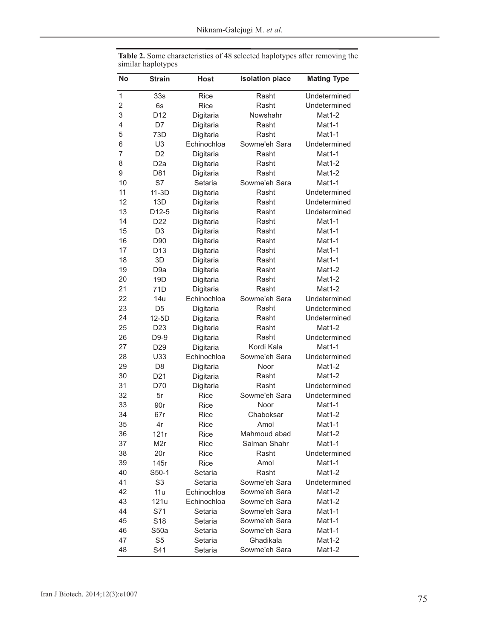| <b>No</b>      | <b>Strain</b>     | <b>Host</b> | <b>Isolation place</b> | <b>Mating Type</b> |
|----------------|-------------------|-------------|------------------------|--------------------|
| 1              | 33s               | <b>Rice</b> | Rasht                  | Undetermined       |
| $\overline{2}$ | 6s                | <b>Rice</b> | Rasht                  | Undetermined       |
| 3              | D <sub>12</sub>   | Digitaria   | Nowshahr               | Mat1-2             |
| $\overline{4}$ | D7                | Digitaria   | Rasht                  | Mat1-1             |
| 5              | 73D               | Digitaria   | Rasht                  | Mat1-1             |
| 6              | U <sub>3</sub>    | Echinochloa | Sowme'eh Sara          | Undetermined       |
| 7              | D <sub>2</sub>    | Digitaria   | Rasht                  | Mat1-1             |
| 8              | D <sub>2a</sub>   | Digitaria   | Rasht                  | Mat1-2             |
| 9              | D81               | Digitaria   | Rasht                  | Mat1-2             |
| 10             | S7                | Setaria     | Sowme'eh Sara          | Mat1-1             |
| 11             | $11-3D$           | Digitaria   | Rasht                  | Undetermined       |
| 12             | 13D               | Digitaria   | Rasht                  | Undetermined       |
| 13             | D <sub>12-5</sub> | Digitaria   | Rasht                  | Undetermined       |
| 14             | D <sub>22</sub>   | Digitaria   | Rasht                  | Mat1-1             |
| 15             | D <sub>3</sub>    | Digitaria   | Rasht                  | Mat1-1             |
| 16             | D90               | Digitaria   | Rasht                  | Mat1-1             |
| 17             | D <sub>13</sub>   | Digitaria   | Rasht                  | Mat1-1             |
| 18             | 3D                | Digitaria   | Rasht                  | Mat1-1             |
| 19             | D <sub>9a</sub>   | Digitaria   | Rasht                  | Mat1-2             |
| 20             | 19D               | Digitaria   | Rasht                  | Mat1-2             |
| 21             | 71D               | Digitaria   | Rasht                  | Mat1-2             |
| 22             | 14u               | Echinochloa | Sowme'eh Sara          | Undetermined       |
| 23             | D <sub>5</sub>    | Digitaria   | Rasht                  | Undetermined       |
| 24             | $12-5D$           | Digitaria   | Rasht                  | Undetermined       |
| 25             | D <sub>23</sub>   | Digitaria   | Rasht                  | Mat1-2             |
| 26             | D9-9              | Digitaria   | Rasht                  | Undetermined       |
| 27             | D <sub>29</sub>   | Digitaria   | Kordi Kala             | Mat1-1             |
| 28             | U33               | Echinochloa | Sowme'eh Sara          | Undetermined       |
| 29             | D <sub>8</sub>    | Digitaria   | Noor                   | Mat1-2             |
| 30             | D <sub>21</sub>   | Digitaria   | Rasht                  | Mat1-2             |
| 31             | D70               | Digitaria   | Rasht                  | Undetermined       |
| 32             | 5r                | <b>Rice</b> | Sowme'eh Sara          | Undetermined       |
| 33             | 90r               | <b>Rice</b> | Noor                   | Mat1-1             |
| 34             | 67r               | <b>Rice</b> | Chaboksar              | Mat1-2             |
| 35             | 4r                | Rice        | Amol                   | Mat1-1             |
| 36             | 121r              | Rice        | Mahmoud abad           | Mat1-2             |
| 37             | M <sub>2</sub> r  | Rice        | Salman Shahr           | Mat1-1             |
| 38             | 20r               | <b>Rice</b> | Rasht                  | Undetermined       |
| 39             | 145r              | Rice        | Amol                   | Mat1-1             |
| 40             | S50-1             | Setaria     | Rasht                  | Mat1-2             |
| 41             | S <sub>3</sub>    | Setaria     | Sowme'eh Sara          | Undetermined       |
| 42             | 11u               | Echinochloa | Sowme'eh Sara          | Mat1-2             |
| 43             | 121u              | Echinochloa | Sowme'eh Sara          | Mat1-2             |
| 44             | S71               | Setaria     | Sowme'eh Sara          | Mat1-1             |
| 45             | S <sub>18</sub>   | Setaria     | Sowme'eh Sara          | Mat1-1             |
| 46             | S50a              | Setaria     | Sowme'eh Sara          | Mat1-1             |
| 47             | S <sub>5</sub>    | Setaria     | Ghadikala              | Mat1-2             |
| 48             | S41               | Setaria     | Sowme'eh Sara          | Mat1-2             |

**Table 2.** Some characteristics of 48 selected haplotypes after removing the similar haplotypes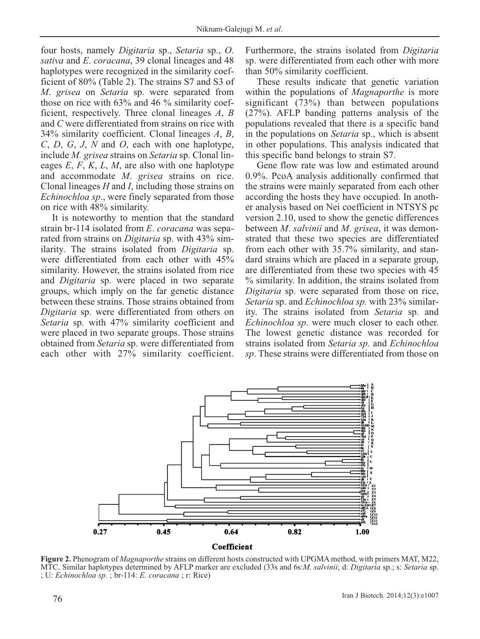four hosts, namely *Digitaria* sp., *Setaria* sp., *O*. *sativa* and *E*. *coracana*, 39 clonal lineages and 48 haplotypes were recognized in the similarity coefficient of 80% (Table 2). The strains S7 and S3 of *M*. *grisea* on *Setaria* sp. were separated from those on rice with 63% and 46 % similarity coefficient, respectively. Three clonal lineages *A*, *B* and *C* were differentiated from strains on rice with 34% similarity coefficient. Clonal lineages *A*, *B*, *C*, *D*, *G*, *J*, *N* and *O*, each with one haplotype, include *M. grisea* strains on *Setaria* sp. Clonal lineages *E*, *F*, *K*, *L*, *M*, are also with one haplotype and accommodate *M*. *grisea* strains on rice. Clonal lineages *H* and *I*, including those strains on *Echinochloa sp*., were finely separated from those on rice with 48% similarity.

It is noteworthy to mention that the standard strain br-114 isolated from *E*. *coracana* was separated from strains on *Digitaria* sp. with 43% similarity. The strains isolated from *Digitaria* sp. were differentiated from each other with 45% similarity. However, the strains isolated from rice and *Digitaria* sp. were placed in two separate groups, which imply on the far genetic distance between these strains. Those strains obtained from *Digitaria* sp. were differentiated from others on *Setaria* sp. with 47% similarity coefficient and were placed in two separate groups. Those strains obtained from *Setaria* sp. were differentiated from each other with 27% similarity coefficient.

Furthermore, the strains isolated from *Digitaria* sp. were differentiated from each other with more than 50% similarity coefficient.

These results indicate that genetic variation within the populations of *Magnaporthe* is more significant (73%) than between populations (27%). AFLP banding patterns analysis of the populations revealed that there is a specific band in the populations on *Setaria* sp., which is absent in other populations. This analysis indicated that this specific band belongs to strain S7.

Gene flow rate was low and estimated around 0.9%. PcoA analysis additionally confirmed that the strains were mainly separated from each other according the hosts they have occupied. In another analysis based on Nei coefficient in NTSYS pc version 2.10, used to show the genetic differences between *M*. *salvinii* and *M*. *grisea*, it was demonstrated that these two species are differentiated from each other with 35.7% similarity, and standard strains which are placed in a separate group, are differentiated from these two species with 45 % similarity. In addition, the strains isolated from *Digitaria* sp. were separated from those on rice, *Setaria* sp. and *Echinochloa sp.* with 23% similarity. The strains isolated from *Setaria* sp. and *Echinochloa sp*. were much closer to each other. The lowest genetic distance was recorded for strains isolated from *Setaria sp*. and *Echinochloa sp*. These strains were differentiated from those on



**Figure 2.** Phenogram of *Magnaporthe* strains on different hosts constructed with UPGMA method, with primers MAT, M22, MTC. Similar haplotypes determined by AFLP marker are excluded (33s and 6s:*M. salvinii*; d: *Digitaria* sp.; s: *Setaria* sp. ; U: *Echinochloa sp.* ; br-114: *E. coracana* ; r: Rice)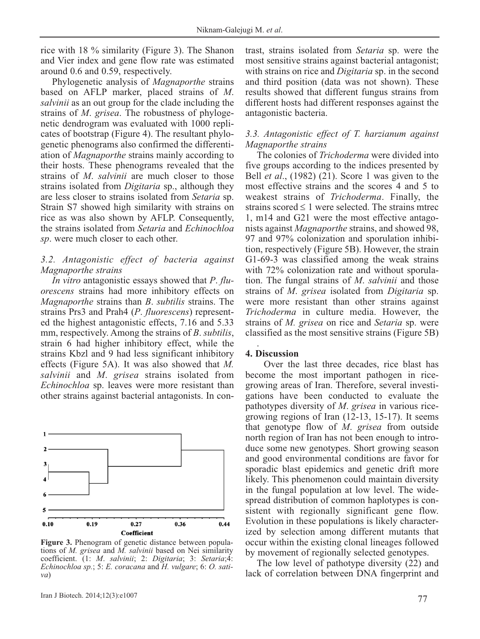rice with 18 % similarity (Figure 3). The Shanon and Vier index and gene flow rate was estimated around 0.6 and 0.59, respectively.

Phylogenetic analysis of *Magnaporthe* strains based on AFLP marker, placed strains of *M*. *salvinii* as an out group for the clade including the strains of *M*. *grisea*. The robustness of phylogenetic dendrogram was evaluated with 1000 replicates of bootstrap (Figure 4). The resultant phylogenetic phenograms also confirmed the differentiation of *Magnaporthe* strains mainly according to their hosts. These phenograms revealed that the strains of *M*. *salvinii* are much closer to those strains isolated from *Digitaria* sp., although they are less closer to strains isolated from *Setaria* sp. Strain S7 showed high similarity with strains on rice as was also shown by AFLP. Consequently, the strains isolated from *Setaria* and *Echinochloa sp*. were much closer to each other.

#### *3.2. Antagonistic effect of bacteria against Magnaporthe strains*

*In vitro* antagonistic essays showed that *P*. *fluorescens* strains had more inhibitory effects on *Magnaporthe* strains than *B*. *subtilis* strains. The strains Prs3 and Prah4 (*P*. *fluorescens*) represented the highest antagonistic effects, 7.16 and 5.33 mm, respectively. Among the strains of *B*. *subtilis*, strain 6 had higher inhibitory effect, while the strains Kbzl and 9 had less significant inhibitory effects (Figure 5A). It was also showed that *M. salvinii* and *M*. *grisea* strains isolated from *Echinochloa* sp. leaves were more resistant than other strains against bacterial antagonists. In con-



**Figure 3.** Phenogram of genetic distance between populations of *M. grisea* and *M. salvinii* based on Nei similarity coefficient. (1: *M*. *salvinii*; 2: *Digitaria*; 3: *Setaria*;4: *Echinochloa sp.*; 5: *E. coracana* and *H. vulgare*; 6: *O. sativa*)

trast, strains isolated from *Setaria* sp. were the most sensitive strains against bacterial antagonist; with strains on rice and *Digitaria* sp. in the second and third position (data was not shown). These results showed that different fungus strains from different hosts had different responses against the antagonistic bacteria.

#### *3.3. Antagonistic effect of T. harzianum against Magnaporthe strains*

The colonies of *Trichoderma* were divided into five groups according to the indices presented by Bell *et al*., (1982) (21). Score 1 was given to the most effective strains and the scores 4 and 5 to weakest strains of *Trichoderma*. Finally, the strains scored  $\leq 1$  were selected. The strains mtrec 1, m14 and G21 were the most effective antagonists against *Magnaporthe* strains, and showed 98, 97 and 97% colonization and sporulation inhibition, respectively (Figure 5B). However, the strain G1-69-3 was classified among the weak strains with 72% colonization rate and without sporulation. The fungal strains of *M*. *salvinii* and those strains of *M*. *grisea* isolated from *Digitaria* sp. were more resistant than other strains against *Trichoderma* in culture media. However, the strains of *M. grisea* on rice and *Setaria* sp. were classified as the most sensitive strains (Figure 5B)

#### **4. Discussion**

.

Over the last three decades, rice blast has become the most important pathogen in ricegrowing areas of Iran. Therefore, several investigations have been conducted to evaluate the pathotypes diversity of *M*. *grisea* in various ricegrowing regions of Iran (12-13, 15-17). It seems that genotype flow of *M*. *grisea* from outside north region of Iran has not been enough to introduce some new genotypes. Short growing season and good environmental conditions are favor for sporadic blast epidemics and genetic drift more likely. This phenomenon could maintain diversity in the fungal population at low level. The widespread distribution of common haplotypes is consistent with regionally significant gene flow. Evolution in these populations is likely characterized by selection among different mutants that occur within the existing clonal lineages followed by movement of regionally selected genotypes.

The low level of pathotype diversity (22) and lack of correlation between DNA fingerprint and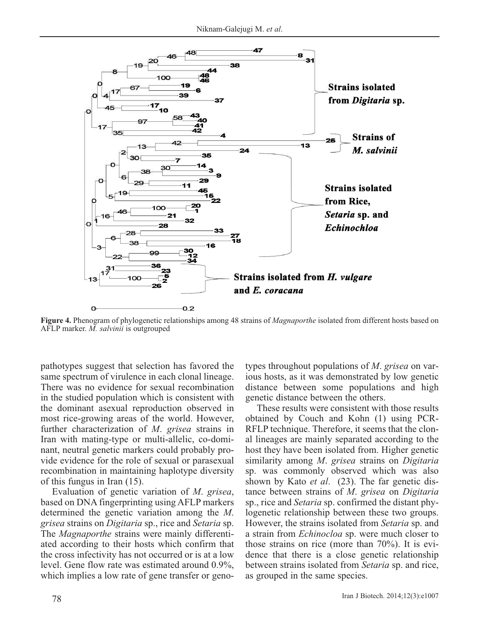

**Figure 4.** Phenogram of phylogenetic relationships among 48 strains of *Magnaporthe* isolated from different hosts based on AFLP marker. *M. salvinii* is outgrouped

pathotypes suggest that selection has favored the same spectrum of virulence in each clonal lineage. There was no evidence for sexual recombination in the studied population which is consistent with the dominant asexual reproduction observed in most rice-growing areas of the world. However, further characterization of *M*. *grisea* strains in Iran with mating-type or multi-allelic, co-dominant, neutral genetic markers could probably provide evidence for the role of sexual or parasexual recombination in maintaining haplotype diversity of this fungus in Iran (15).

Evaluation of genetic variation of *M*. *grisea*, based on DNA fingerprinting using AFLP markers determined the genetic variation among the *M*. *grisea* strains on *Digitaria* sp., rice and *Setaria* sp. The *Magnaporthe* strains were mainly differentiated according to their hosts which confirm that the cross infectivity has not occurred or is at a low level. Gene flow rate was estimated around 0.9%, which implies a low rate of gene transfer or genotypes throughout populations of *M*. *grisea* on various hosts, as it was demonstrated by low genetic distance between some populations and high genetic distance between the others.

These results were consistent with those results obtained by Couch and Kohn (1) using PCR-RFLP technique. Therefore, it seems that the clonal lineages are mainly separated according to the host they have been isolated from. Higher genetic similarity among *M*. *grisea* strains on *Digitaria* sp. was commonly observed which was also shown by Kato *et al*. (23). The far genetic distance between strains of *M*. *grisea* on *Digitaria* sp., rice and *Setaria* sp. confirmed the distant phylogenetic relationship between these two groups. However, the strains isolated from *Setaria* sp. and a strain from *Echinocloa* sp. were much closer to those strains on rice (more than 70%). It is evidence that there is a close genetic relationship between strains isolated from *Setaria* sp. and rice, as grouped in the same species.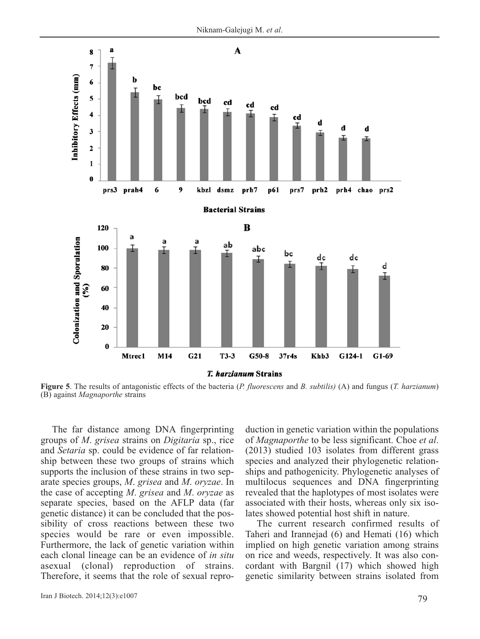

**Figure 5**. The results of antagonistic effects of the bacteria (*P. fluorescens* and *B. subtilis)* (A) and fungus (*T. harzianum*) (B) against *Magnaporthe* strains

The far distance among DNA fingerprinting groups of *M*. *grisea* strains on *Digitaria* sp., rice and *Setaria* sp. could be evidence of far relationship between these two groups of strains which supports the inclusion of these strains in two separate species groups, *M*. *grisea* and *M*. *oryzae*. In the case of accepting *M*. *grisea* and *M*. *oryzae* as separate species, based on the AFLP data (far genetic distance) it can be concluded that the possibility of cross reactions between these two species would be rare or even impossible. Furthermore, the lack of genetic variation within each clonal lineage can be an evidence of *in situ* asexual (clonal) reproduction of strains. Therefore, it seems that the role of sexual reproduction in genetic variation within the populations of *Magnaporthe* to be less significant. Choe *et al*. (2013) studied 103 isolates from different grass species and analyzed their phylogenetic relationships and pathogenicity. Phylogenetic analyses of multilocus sequences and DNA fingerprinting revealed that the haplotypes of most isolates were associated with their hosts, whereas only six isolates showed potential host shift in nature.

The current research confirmed results of Taheri and Irannejad (6) and Hemati (16) which implied on high genetic variation among strains on rice and weeds, respectively. It was also concordant with Bargnil (17) which showed high genetic similarity between strains isolated from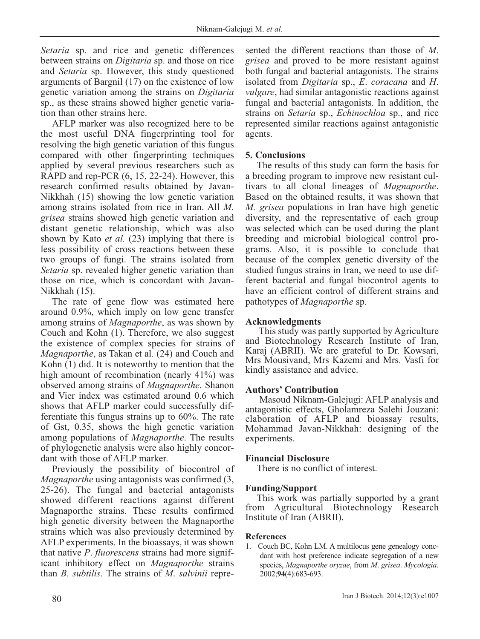*Setaria* sp. and rice and genetic differences between strains on *Digitaria* sp. and those on rice and *Setaria* sp. However, this study questioned arguments of Bargnil (17) on the existence of low genetic variation among the strains on *Digitaria* sp., as these strains showed higher genetic variation than other strains here.

AFLP marker was also recognized here to be the most useful DNA fingerprinting tool for resolving the high genetic variation of this fungus compared with other fingerprinting techniques applied by several previous researchers such as RAPD and rep-PCR (6, 15, 22-24). However, this research confirmed results obtained by Javan-Nikkhah (15) showing the low genetic variation among strains isolated from rice in Iran. All *M*. *grisea* strains showed high genetic variation and distant genetic relationship, which was also shown by Kato *et al.* (23) implying that there is less possibility of cross reactions between these two groups of fungi. The strains isolated from *Setaria* sp. revealed higher genetic variation than those on rice, which is concordant with Javan-Nikkhah (15).

The rate of gene flow was estimated here around 0.9%, which imply on low gene transfer among strains of *Magnaporthe*, as was shown by Couch and Kohn (1). Therefore, we also suggest the existence of complex species for strains of *Magnaporthe*, as Takan et al. (24) and Couch and Kohn (1) did. It is noteworthy to mention that the high amount of recombination (nearly 41%) was observed among strains of *Magnaporthe*. Shanon and Vier index was estimated around 0.6 which shows that AFLP marker could successfully differentiate this fungus strains up to 60%. The rate of Gst, 0.35, shows the high genetic variation among populations of *Magnaporthe*. The results of phylogenetic analysis were also highly concordant with those of AFLP marker.

Previously the possibility of biocontrol of *Magnaporthe* using antagonists was confirmed (3, 25-26). The fungal and bacterial antagonists showed different reactions against different Magnaporthe strains. These results confirmed high genetic diversity between the Magnaporthe strains which was also previously determined by AFLP experiments. In the bioassays, it was shown that native *P*. *fluorescens* strains had more significant inhibitory effect on *Magnaporthe* strains than *B. subtilis*. The strains of *M*. *salvinii* represented the different reactions than those of *M*. *grisea* and proved to be more resistant against both fungal and bacterial antagonists. The strains isolated from *Digitaria* sp., *E*. *coracana* and *H*. *vulgare*, had similar antagonistic reactions against fungal and bacterial antagonists. In addition, the strains on *Setaria* sp., *Echinochloa* sp., and rice represented similar reactions against antagonistic agents.

## **5. Conclusions**

The results of this study can form the basis for a breeding program to improve new resistant cultivars to all clonal lineages of *Magnaporthe*. Based on the obtained results, it was shown that *M. grisea* populations in Iran have high genetic diversity, and the representative of each group was selected which can be used during the plant breeding and microbial biological control programs. Also, it is possible to conclude that because of the complex genetic diversity of the studied fungus strains in Iran, we need to use different bacterial and fungal biocontrol agents to have an efficient control of different strains and pathotypes of *Magnaporthe* sp.

#### **Acknowledgments**

This study was partly supported by Agriculture and Biotechnology Research Institute of Iran, Karaj (ABRII). We are grateful to Dr. Kowsari, Mrs Mousivand, Mrs Kazemi and Mrs. Vasfi for kindly assistance and advice.

### **Authors' Contribution**

Masoud Niknam-Galejugi: AFLP analysis and antagonistic effects, Gholamreza Salehi Jouzani: elaboration of AFLP and bioassay results, Mohammad Javan-Nikkhah: designing of the experiments.

### **Financial Disclosure**

There is no conflict of interest.

#### **Funding/Support**

This work was partially supported by a grant from Agricultural Biotechnology Research Institute of Iran (ABRII).

#### **References**

1. Couch BC, Kohn LM. A multilocus gene genealogy concdant with host preference indicate segregation of a new species, *Magnaporthe oryzae*, from *M*. *grisea*. *Mycologia*. 2002;**94**(4):683-693.